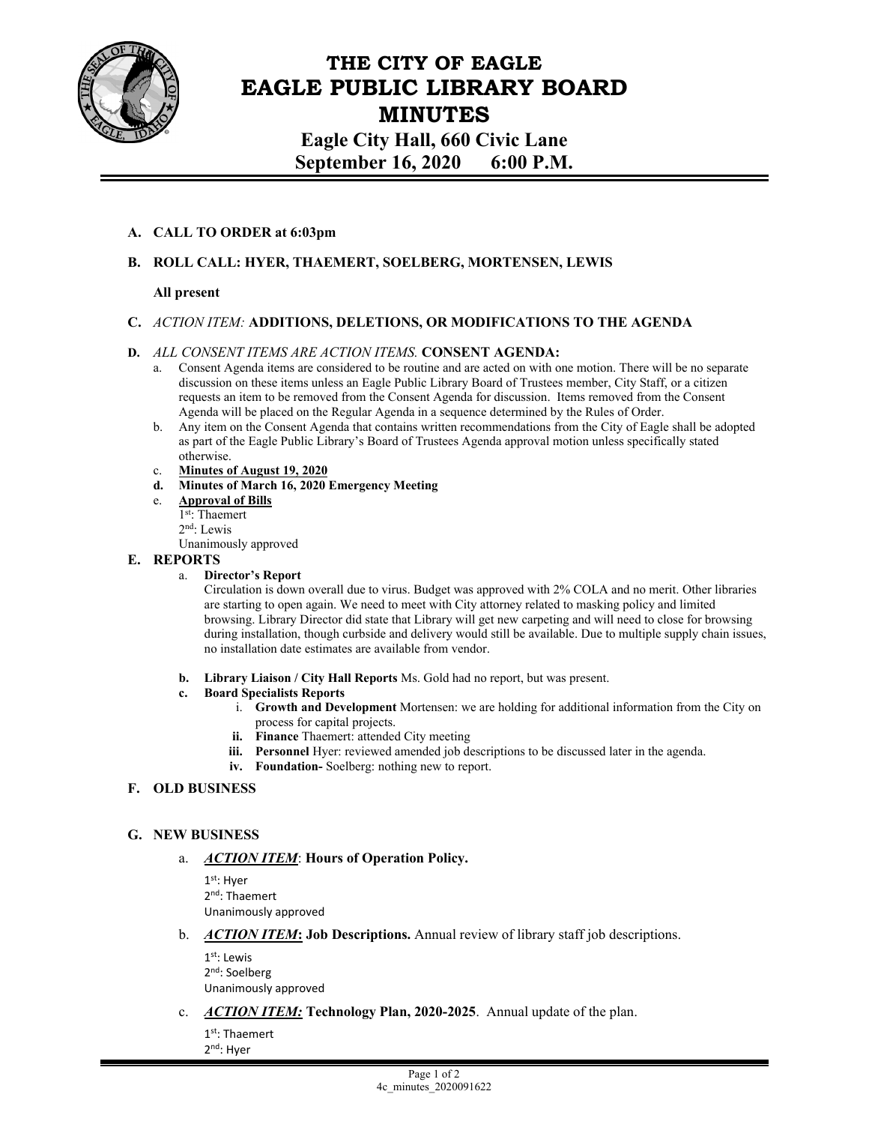

# **THE CITY OF EAGLE EAGLE PUBLIC LIBRARY BOARD MINUTES**

**Eagle City Hall, 660 Civic Lane September 16, 2020 6:00 P.M.** 

## **A. CALL TO ORDER at 6:03pm**

# **B. ROLL CALL: HYER, THAEMERT, SOELBERG, MORTENSEN, LEWIS**

## **All present**

## **C.** *ACTION ITEM:* **ADDITIONS, DELETIONS, OR MODIFICATIONS TO THE AGENDA**

#### **D.** *ALL CONSENT ITEMS ARE ACTION ITEMS.* **CONSENT AGENDA:**

- a. Consent Agenda items are considered to be routine and are acted on with one motion. There will be no separate discussion on these items unless an Eagle Public Library Board of Trustees member, City Staff, or a citizen requests an item to be removed from the Consent Agenda for discussion. Items removed from the Consent Agenda will be placed on the Regular Agenda in a sequence determined by the Rules of Order.
- b. Any item on the Consent Agenda that contains written recommendations from the City of Eagle shall be adopted as part of the Eagle Public Library's Board of Trustees Agenda approval motion unless specifically stated otherwise.
- c. **Minutes of August 19, 2020**
- **d. Minutes of March 16, 2020 Emergency Meeting**
- e. **Approval of Bills**

1st: Thaemert

2nd: Lewis

Unanimously approved

### **E. REPORTS**

#### a. **Director's Report**

Circulation is down overall due to virus. Budget was approved with 2% COLA and no merit. Other libraries are starting to open again. We need to meet with City attorney related to masking policy and limited browsing. Library Director did state that Library will get new carpeting and will need to close for browsing during installation, though curbside and delivery would still be available. Due to multiple supply chain issues, no installation date estimates are available from vendor.

**b. Library Liaison / City Hall Reports** Ms. Gold had no report, but was present.

#### **c. Board Specialists Reports**

- i. **Growth and Development** Mortensen: we are holding for additional information from the City on process for capital projects.
- **ii. Finance** Thaemert: attended City meeting
- **iii.** Personnel Hyer: reviewed amended job descriptions to be discussed later in the agenda.
- **iv. Foundation-** Soelberg: nothing new to report.

## **F. OLD BUSINESS**

## **G. NEW BUSINESS**

## a. *ACTION ITEM*: **Hours of Operation Policy.**

1st: Hyer 2nd: Thaemert Unanimously approved

b. *ACTION ITEM***: Job Descriptions.** Annual review of library staff job descriptions.

 $1<sup>st.</sup>$  Lewis 2nd: Soelberg Unanimously approved

c. *ACTION ITEM:* **Technology Plan, 2020-2025**. Annual update of the plan.

1st: Thaemert 2nd: Hyer